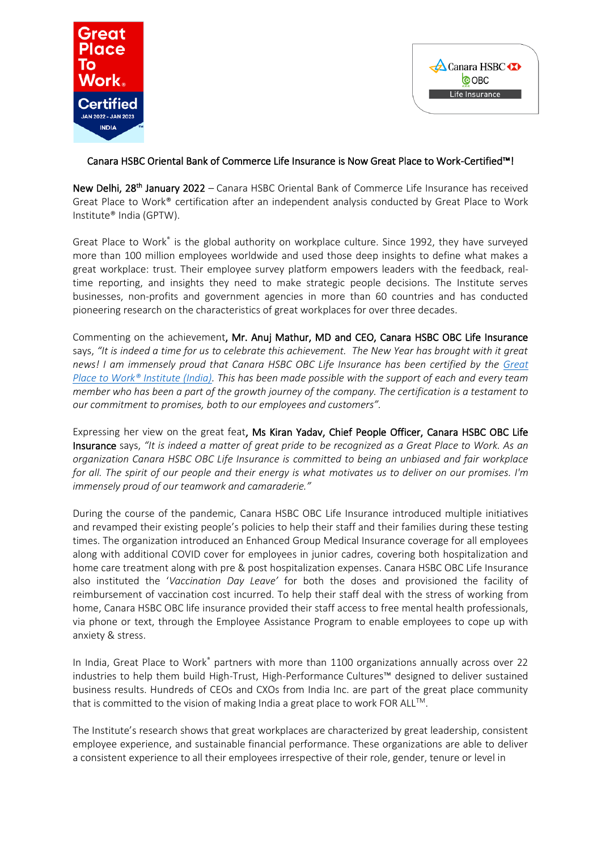



## Canara HSBC Oriental Bank of Commerce Life Insurance is Now Great Place to Work-Certified™!

New Delhi, 28<sup>th</sup> January 2022 – Canara HSBC Oriental Bank of Commerce Life Insurance has received Great Place to Work® certification after an independent analysis conducted by Great Place to Work Institute® India (GPTW).

Great Place to Work<sup>®</sup> is the global authority on workplace culture. Since 1992, they have surveyed more than 100 million employees worldwide and used those deep insights to define what makes a great workplace: trust. Their employee survey platform empowers leaders with the feedback, realtime reporting, and insights they need to make strategic people decisions. The Institute serves businesses, non-profits and government agencies in more than 60 countries and has conducted pioneering research on the characteristics of great workplaces for over three decades.

Commenting on the achievement, Mr. Anuj Mathur, MD and CEO, Canara HSBC OBC Life Insurance says, *"It is indeed a time for us to celebrate this achievement. The New Year has brought with it great news! I am immensely proud that Canara HSBC OBC Life Insurance has been certified by the [Great](https://www.linkedin.com/company/great-place-to-work-institute-india/)  [Place to Work® Institute \(India\).](https://www.linkedin.com/company/great-place-to-work-institute-india/) This has been made possible with the support of each and every team member who has been a part of the growth journey of the company. The certification is a testament to our commitment to promises, both to our employees and customers".*

Expressing her view on the great feat, Ms Kiran Yadav, Chief People Officer, Canara HSBC OBC Life Insurance says, *"It is indeed a matter of great pride to be recognized as a Great Place to Work. As an organization Canara HSBC OBC Life Insurance is committed to being an unbiased and fair workplace for all. The spirit of our people and their energy is what motivates us to deliver on our promises. I'm immensely proud of our teamwork and camaraderie."* 

During the course of the pandemic, Canara HSBC OBC Life Insurance introduced multiple initiatives and revamped their existing people's policies to help their staff and their families during these testing times. The organization introduced an Enhanced Group Medical Insurance coverage for all employees along with additional COVID cover for employees in junior cadres, covering both hospitalization and home care treatment along with pre & post hospitalization expenses. Canara HSBC OBC Life Insurance also instituted the '*Vaccination Day Leave'* for both the doses and provisioned the facility of reimbursement of vaccination cost incurred. To help their staff deal with the stress of working from home, Canara HSBC OBC life insurance provided their staff access to free mental health professionals, via phone or text, through the Employee Assistance Program to enable employees to cope up with anxiety & stress.

In India, Great Place to Work® partners with more than 1100 organizations annually across over 22 industries to help them build High-Trust, High-Performance Cultures™ designed to deliver sustained business results. Hundreds of CEOs and CXOs from India Inc. are part of the great place community that is committed to the vision of making India a great place to work FOR ALL<sup>™</sup>.

The Institute's research shows that great workplaces are characterized by great leadership, consistent employee experience, and sustainable financial performance. These organizations are able to deliver a consistent experience to all their employees irrespective of their role, gender, tenure or level in